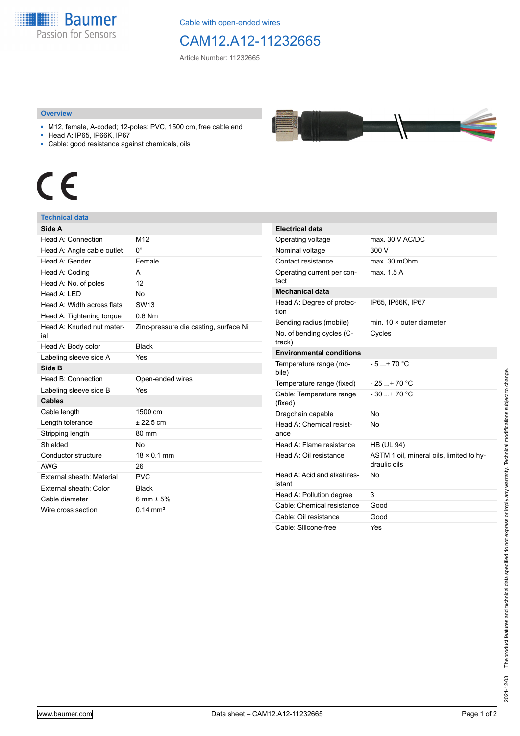

Cable with open-ended wires

## CAM12.A12-11232665

Article Number: 11232665

## **Overview**

- M12, female, A-coded; 12-poles; PVC, 1500 cm, free cable end
- Head A: IP65, IP66K, IP67
- Cable: good resistance against chemicals, oils



## **Technical data**

| Side A                            |                                       |
|-----------------------------------|---------------------------------------|
| Head A: Connection                | M12                                   |
| Head A: Angle cable outlet        | 0°                                    |
| Head A: Gender                    | Female                                |
| Head A: Coding                    | A                                     |
| Head A: No. of poles              | 12                                    |
| Head $A \cdot IFD$                | No                                    |
| Head A: Width across flats        | SW <sub>13</sub>                      |
| Head A: Tightening torque         | $0.6$ Nm                              |
| Head A: Knurled nut mater-<br>ial | Zinc-pressure die casting, surface Ni |
| Head A: Body color                | <b>Black</b>                          |
| Labeling sleeve side A            | Yes                                   |
| Side B                            |                                       |
| Head B: Connection                | Open-ended wires                      |
| Labeling sleeve side B            | Yes                                   |
| <b>Cables</b>                     |                                       |
| Cable length                      | 1500 cm                               |
| Length tolerance                  | $± 22.5$ cm                           |
| Stripping length                  | 80 mm                                 |
| Shielded                          | No                                    |
| Conductor structure               | $18 \times 0.1$ mm                    |
| <b>AWG</b>                        | 26                                    |
| External sheath: Material         | <b>PVC</b>                            |
| External sheath: Color            | <b>Black</b>                          |
| Cable diameter                    | 6 mm $\pm$ 5%                         |
| Wire cross section                | $0.14 \text{ mm}^2$                   |

| <b>Electrical data</b>                 |                                                          |
|----------------------------------------|----------------------------------------------------------|
| Operating voltage                      | max. 30 V AC/DC                                          |
| Nominal voltage                        | 300 V                                                    |
| Contact resistance                     | max. 30 mOhm                                             |
| Operating current per con-<br>tact     | max 15A                                                  |
| <b>Mechanical data</b>                 |                                                          |
| Head A: Degree of protec-<br>tion      | IP65, IP66K, IP67                                        |
| Bending radius (mobile)                | min. $10 \times$ outer diameter                          |
| No. of bending cycles (C-<br>track)    | Cycles                                                   |
| <b>Environmental conditions</b>        |                                                          |
| Temperature range (mo-<br>bile)        | $-5+70 °C$                                               |
| Temperature range (fixed)              | $-25+70 °C$                                              |
| Cable: Temperature range<br>(fixed)    | $-30$ + 70 °C                                            |
| Dragchain capable                      | No                                                       |
| Head A: Chemical resist-<br>ance       | No                                                       |
| Head A: Flame resistance               | <b>HB (UL 94)</b>                                        |
| Head A: Oil resistance                 | ASTM 1 oil, mineral oils, limited to hy-<br>draulic oils |
| Head A: Acid and alkali res-<br>istant | No                                                       |
| Head A: Pollution degree               | 3                                                        |
| Cable: Chemical resistance             | Good                                                     |
| Cable: Oil resistance                  | Good                                                     |
| Cable: Silicone-free                   | Yes                                                      |

The product features and technical data specified do not express or imply any warranty. Technical modifications subject to change. 2021-12-03 The product features and technical data specified do not express or imply any warranty. Technical modifications subject to change. 2021-12-03